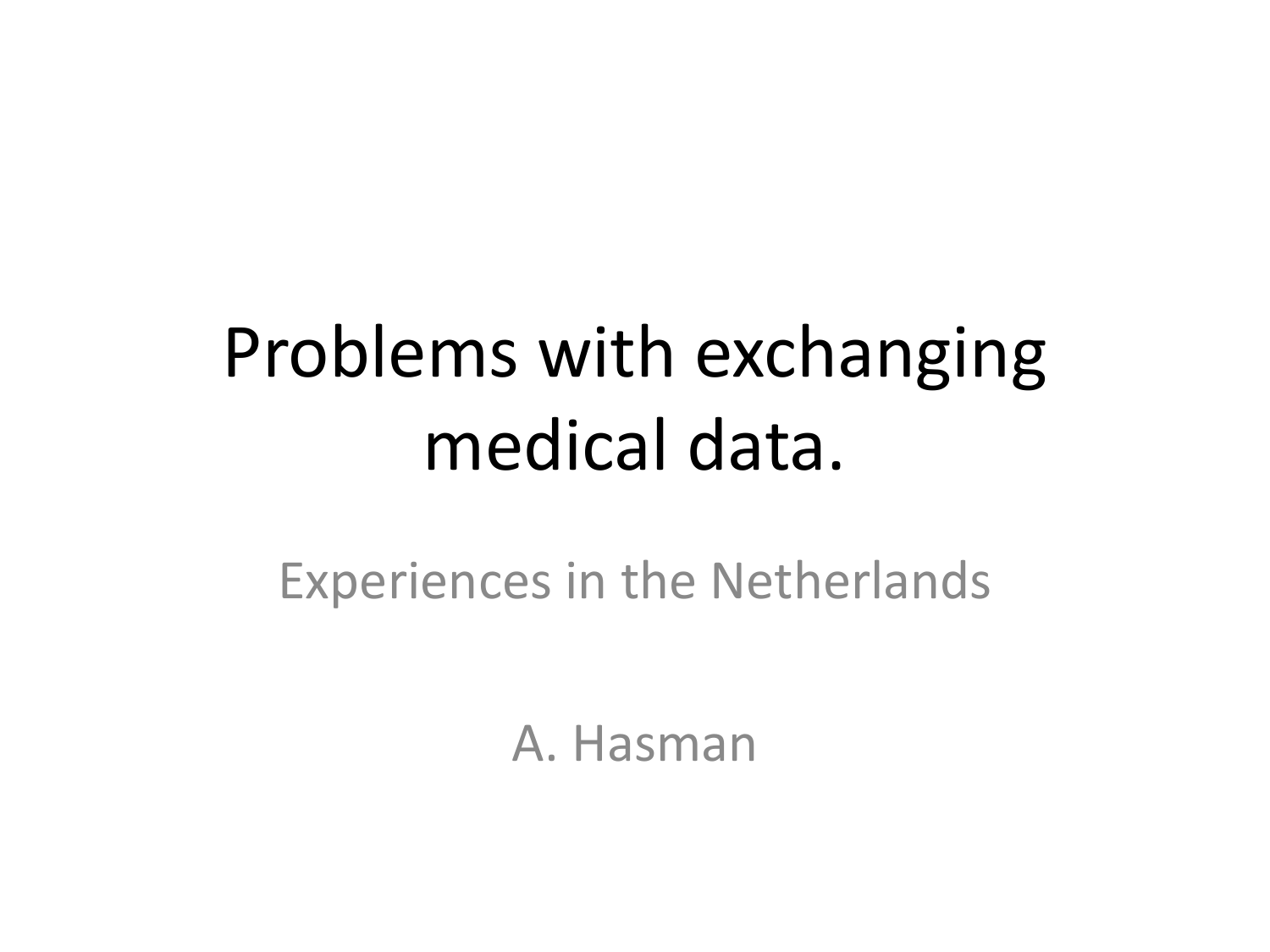## Problems with exchanging medical data.

Experiences in the Netherlands

A. Hasman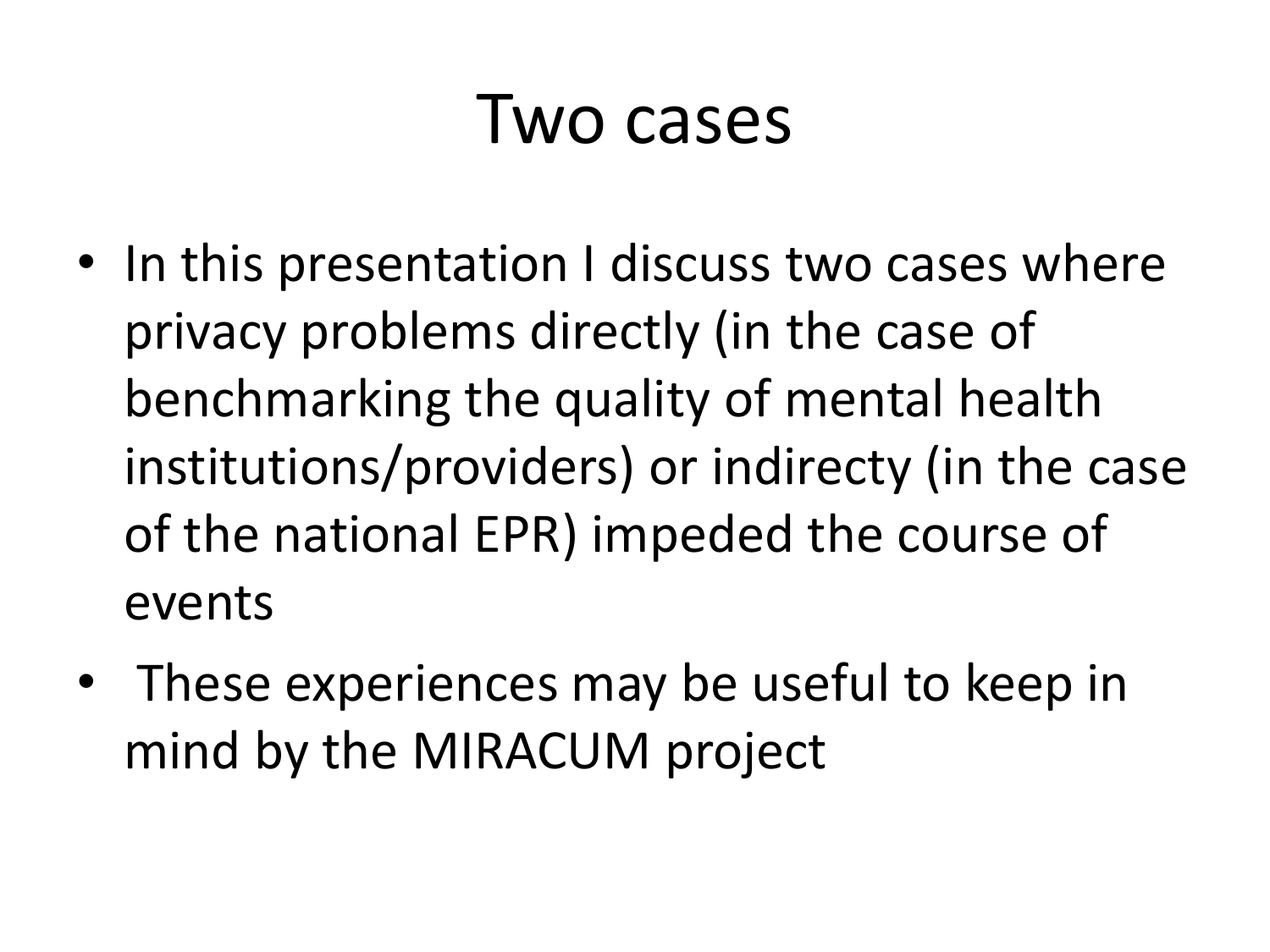#### Two cases

- In this presentation I discuss two cases where privacy problems directly (in the case of benchmarking the quality of mental health institutions/providers) or indirecty (in the case of the national EPR) impeded the course of events
- These experiences may be useful to keep in mind by the MIRACUM project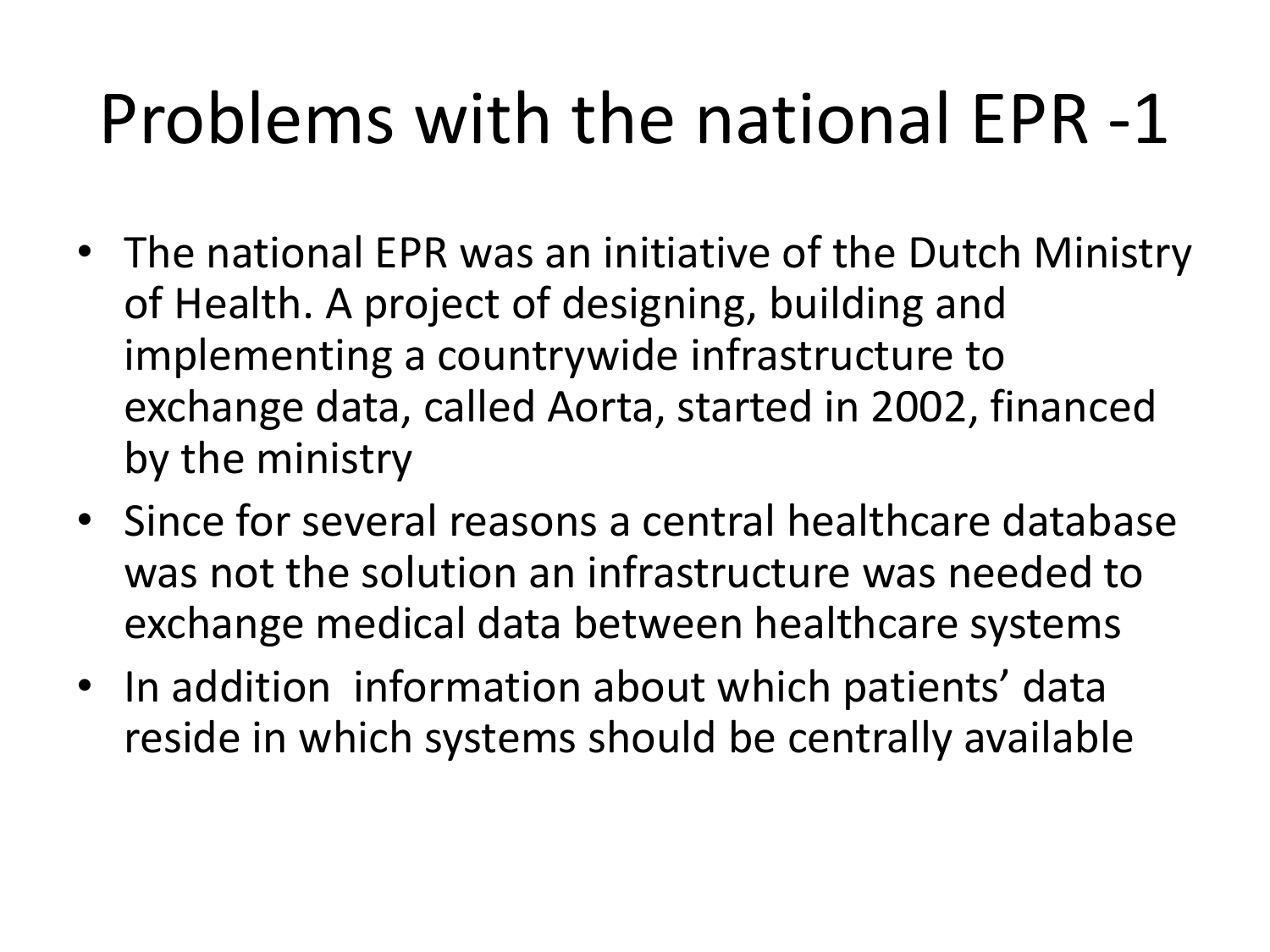## Problems with the national EPR -1

- The national EPR was an initiative of the Dutch Ministry of Health. A project of designing, building and implementing a countrywide infrastructure to exchange data, called Aorta, started in 2002, financed by the ministry
- Since for several reasons a central healthcare database was not the solution an infrastructure was needed to exchange medical data between healthcare systems
- In addition information about which patients' data reside in which systems should be centrally available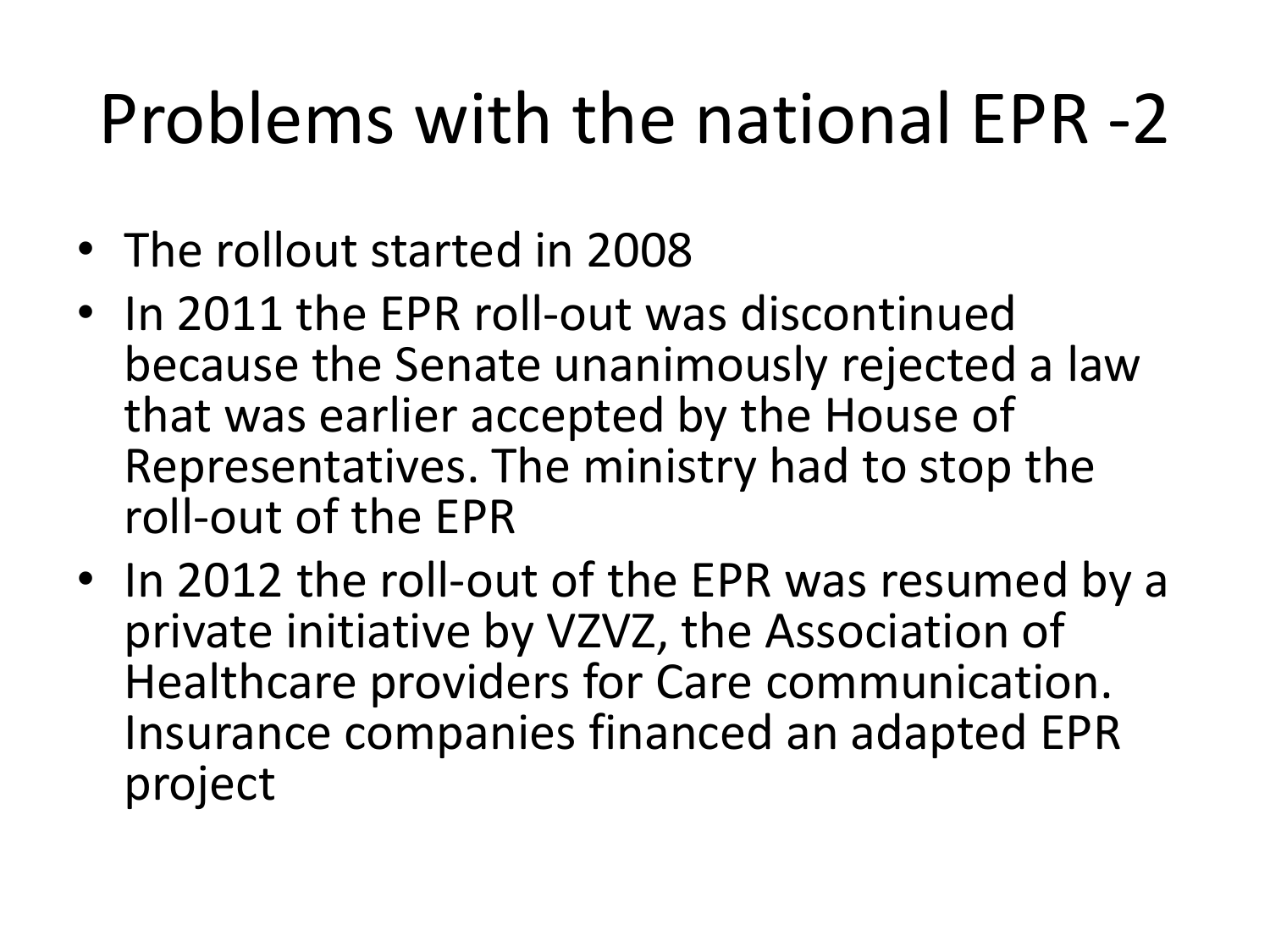## Problems with the national EPR -2

- The rollout started in 2008
- In 2011 the EPR roll-out was discontinued because the Senate unanimously rejected a law that was earlier accepted by the House of Representatives. The ministry had to stop the roll-out of the EPR
- In 2012 the roll-out of the EPR was resumed by a private initiative by VZVZ, the Association of Healthcare providers for Care communication. Insurance companies financed an adapted EPR project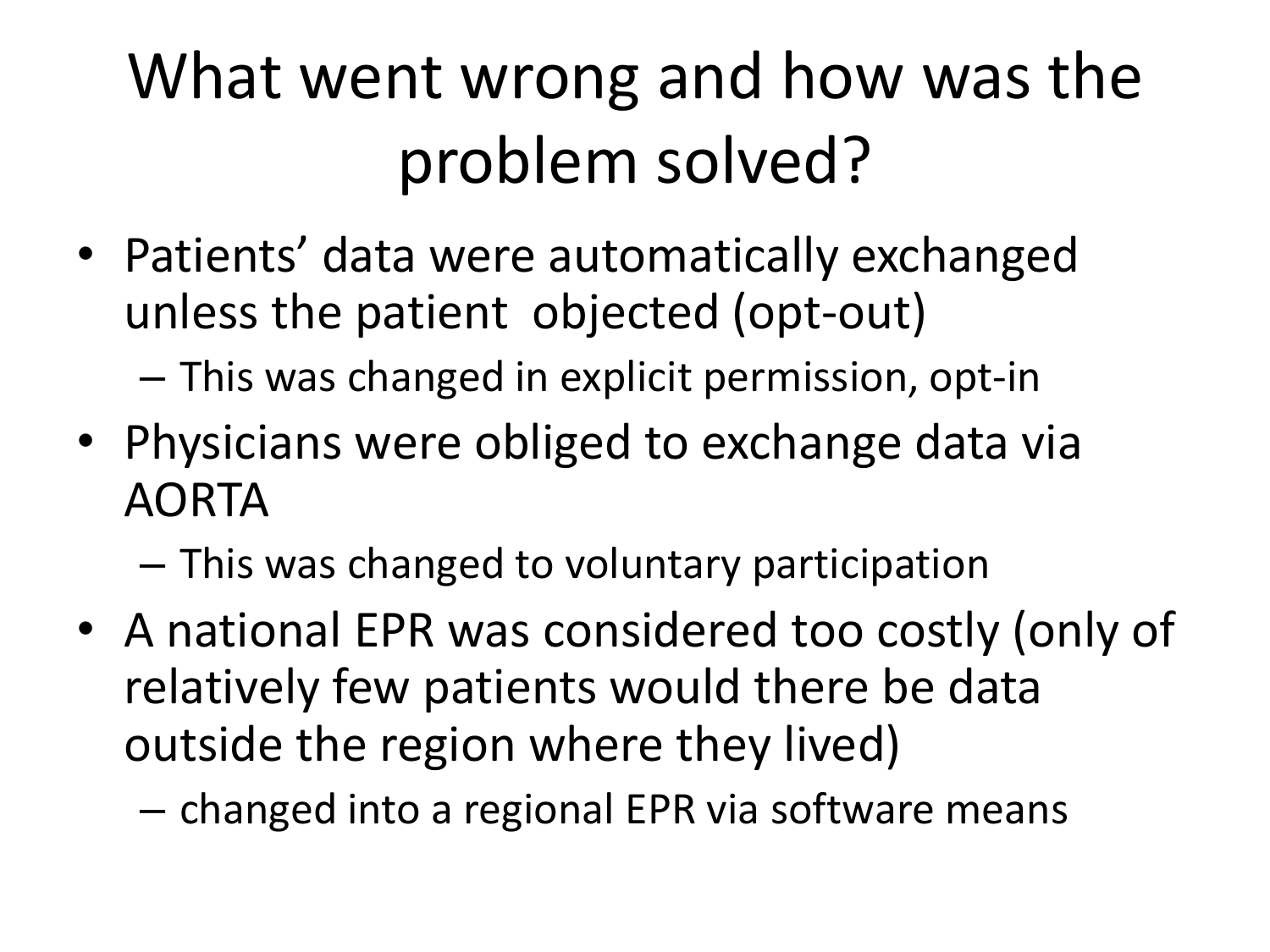#### What went wrong and how was the problem solved?

• Patients' data were automatically exchanged unless the patient objected (opt-out)

– This was changed in explicit permission, opt-in

• Physicians were obliged to exchange data via AORTA

– This was changed to voluntary participation

- A national EPR was considered too costly (only of relatively few patients would there be data outside the region where they lived)
	- changed into a regional EPR via software means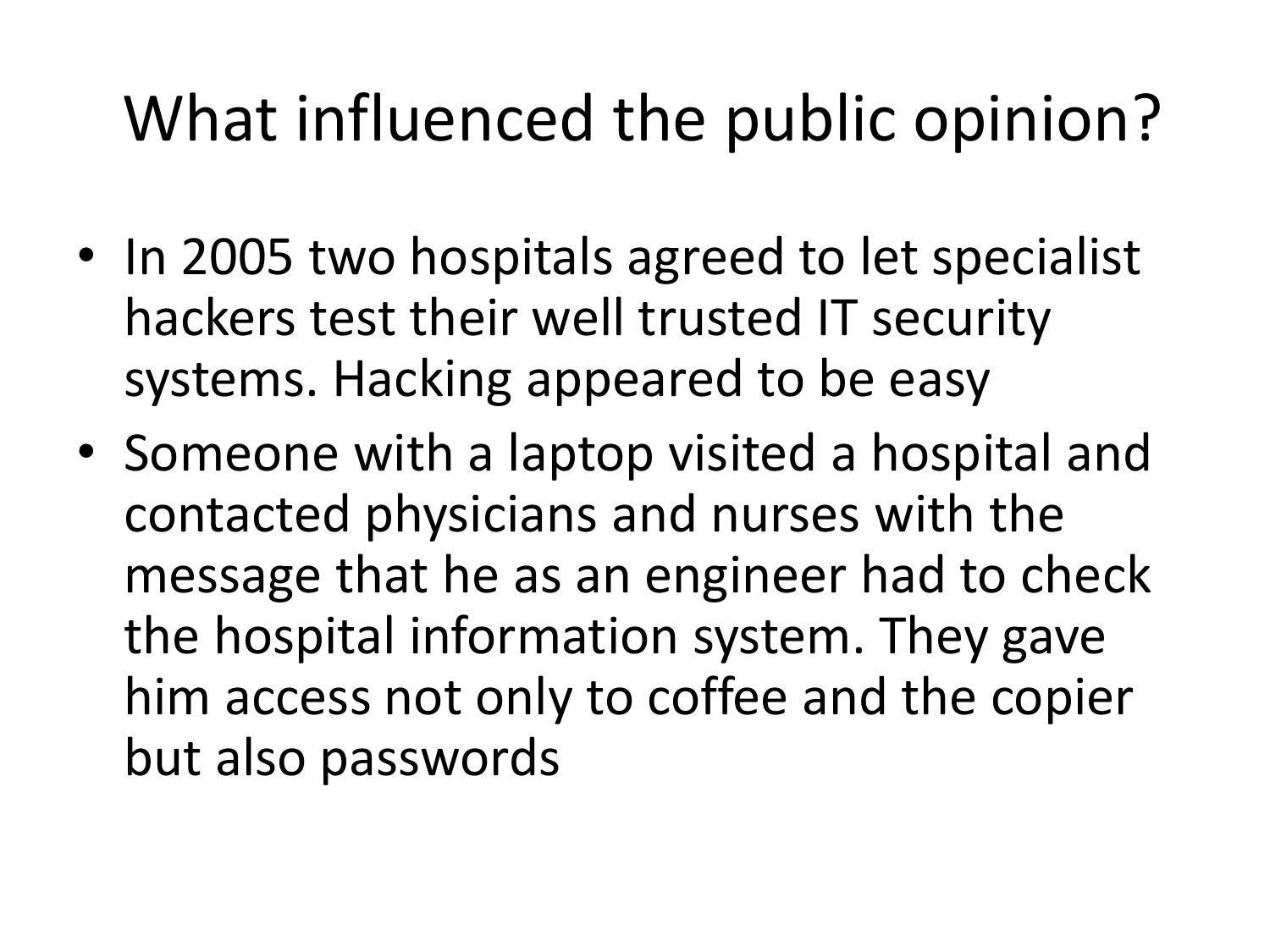#### What influenced the public opinion?

- In 2005 two hospitals agreed to let specialist hackers test their well trusted IT security systems. Hacking appeared to be easy
- Someone with a laptop visited a hospital and contacted physicians and nurses with the message that he as an engineer had to check the hospital information system. They gave him access not only to coffee and the copier but also passwords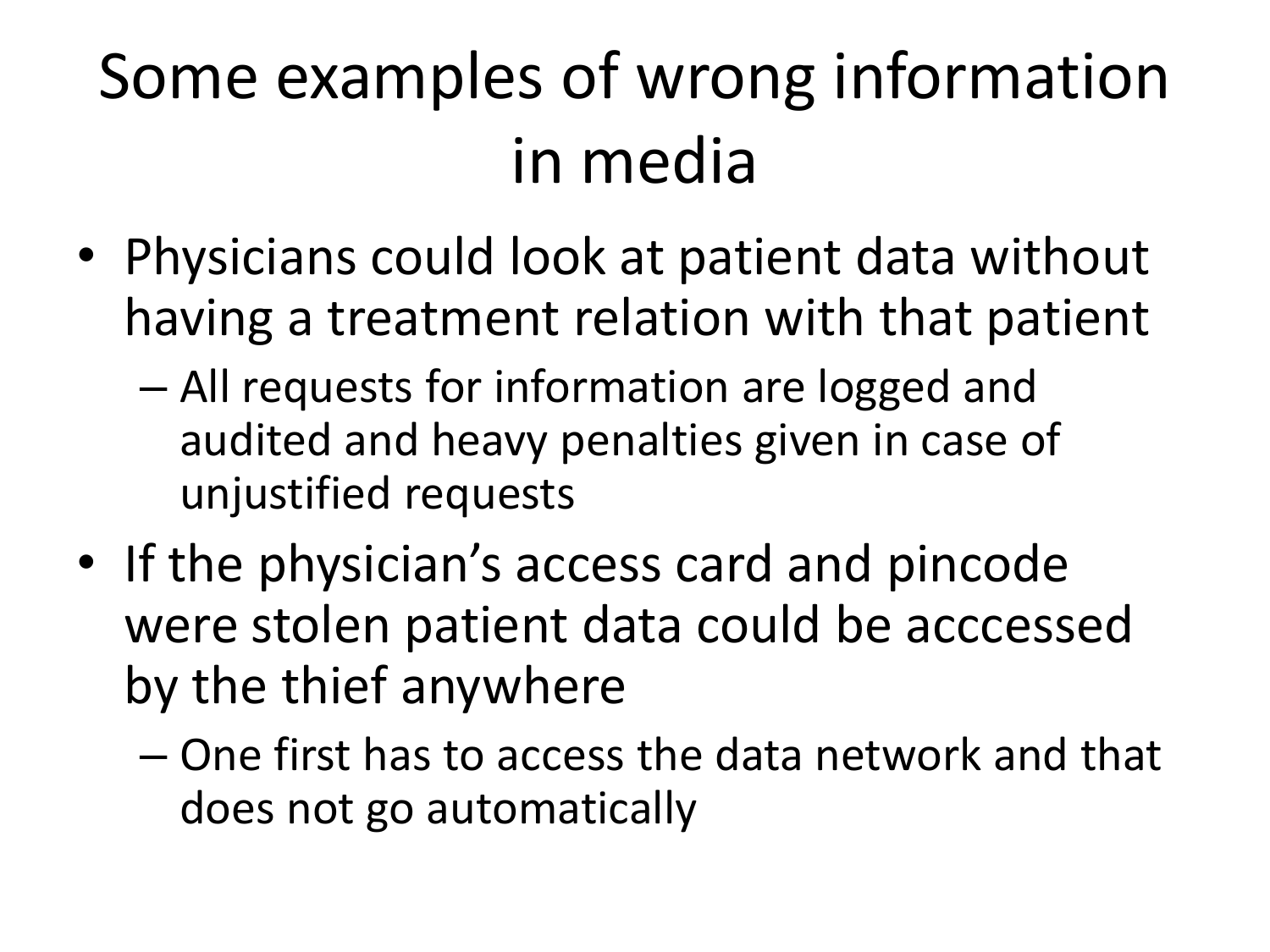#### Some examples of wrong information in media

- Physicians could look at patient data without having a treatment relation with that patient
	- All requests for information are logged and audited and heavy penalties given in case of unjustified requests
- If the physician's access card and pincode were stolen patient data could be acccessed by the thief anywhere
	- One first has to access the data network and that does not go automatically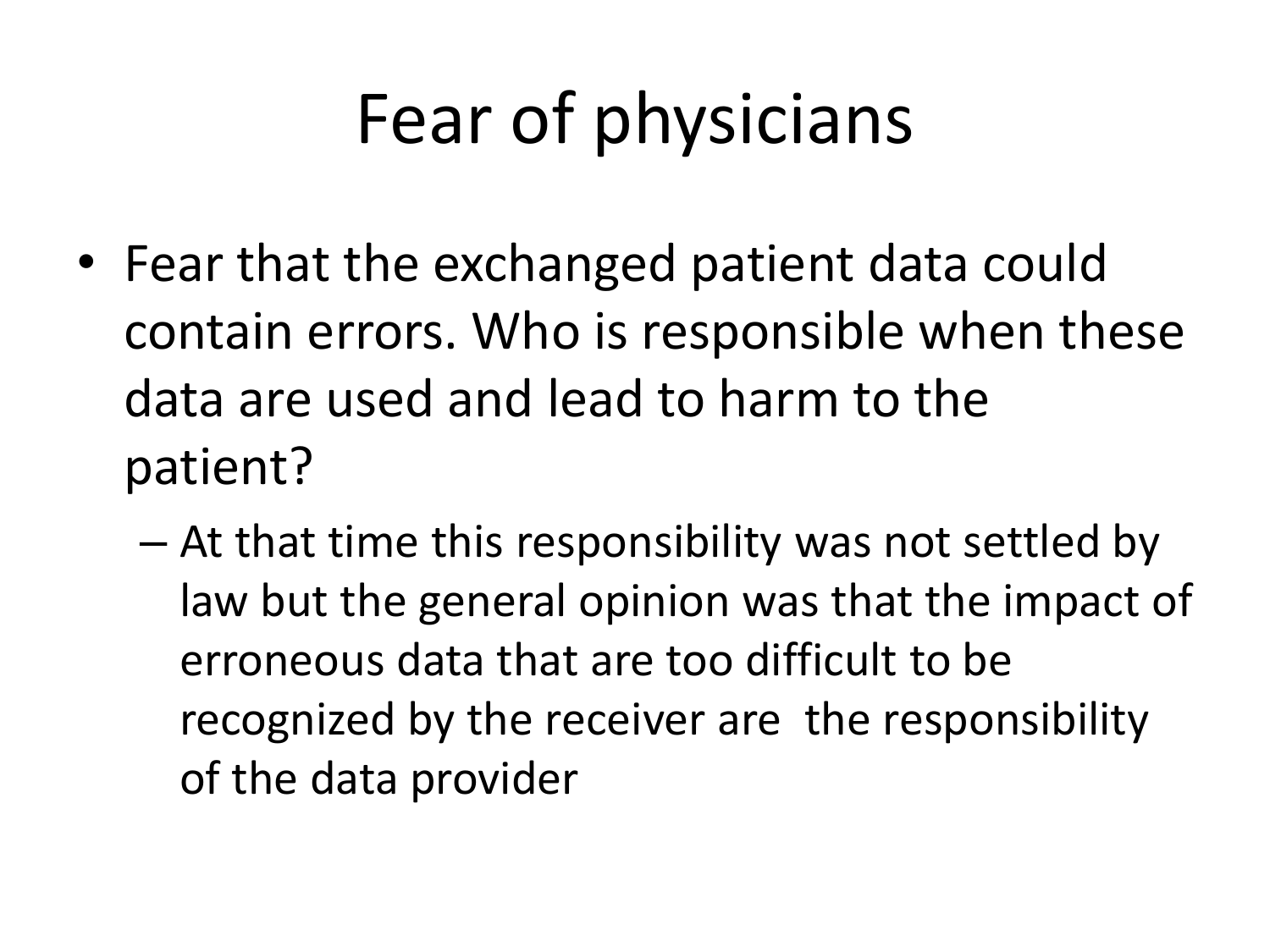# Fear of physicians

- Fear that the exchanged patient data could contain errors. Who is responsible when these data are used and lead to harm to the patient?
	- At that time this responsibility was not settled by law but the general opinion was that the impact of erroneous data that are too difficult to be recognized by the receiver are the responsibility of the data provider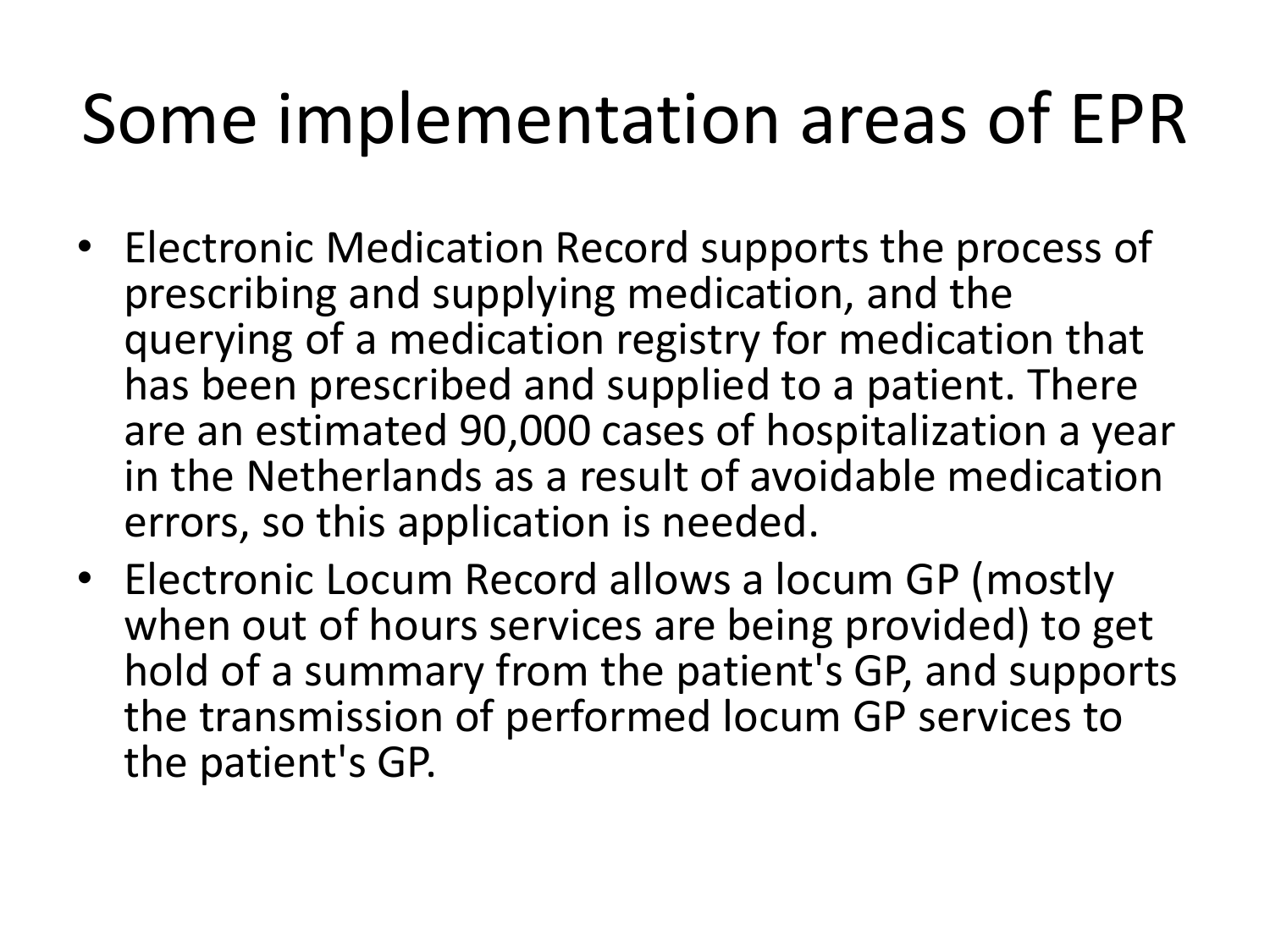#### Some implementation areas of EPR

- Electronic Medication Record supports the process of prescribing and supplying medication, and the querying of a medication registry for medication that has been prescribed and supplied to a patient. There are an estimated 90,000 cases of hospitalization a year in the Netherlands as a result of avoidable medication errors, so this application is needed.
- Electronic Locum Record allows a locum GP (mostly when out of hours services are being provided) to get hold of a summary from the patient's GP, and supports the transmission of performed locum GP services to the patient's GP.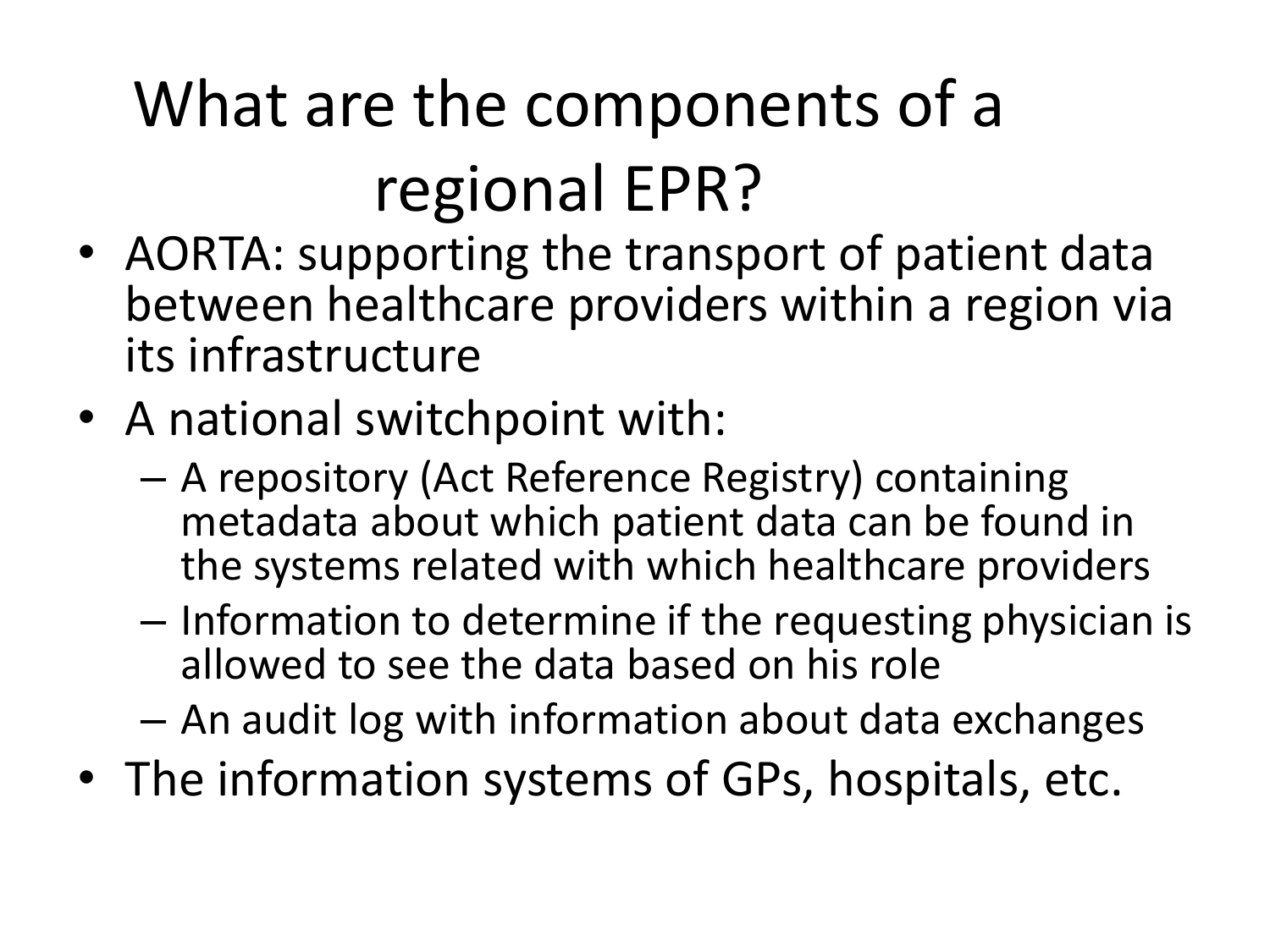# What are the components of a regional EPR?

- AORTA: supporting the transport of patient data between healthcare providers within a region via its infrastructure
- A national switchpoint with:
	- A repository (Act Reference Registry) containing metadata about which patient data can be found in the systems related with which healthcare providers
	- Information to determine if the requesting physician is allowed to see the data based on his role
	- An audit log with information about data exchanges
- The information systems of GPs, hospitals, etc.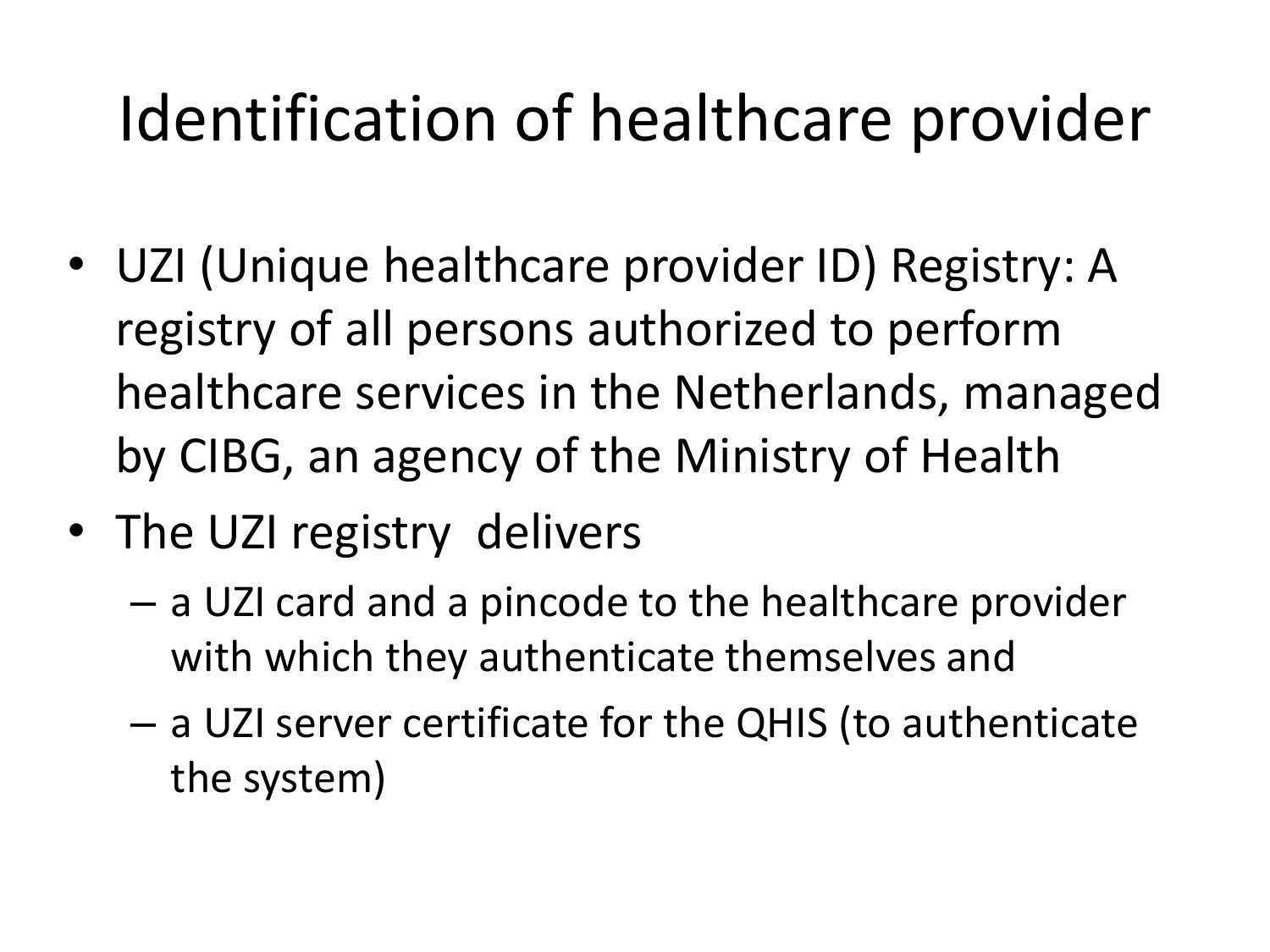#### Identification of healthcare provider

- UZI (Unique healthcare provider ID) Registry: A registry of all persons authorized to perform healthcare services in the Netherlands, managed by CIBG, an agency of the Ministry of Health
- The UZI registry delivers
	- a UZI card and a pincode to the healthcare provider with which they authenticate themselves and
	- a UZI server certificate for the QHIS (to authenticate the system)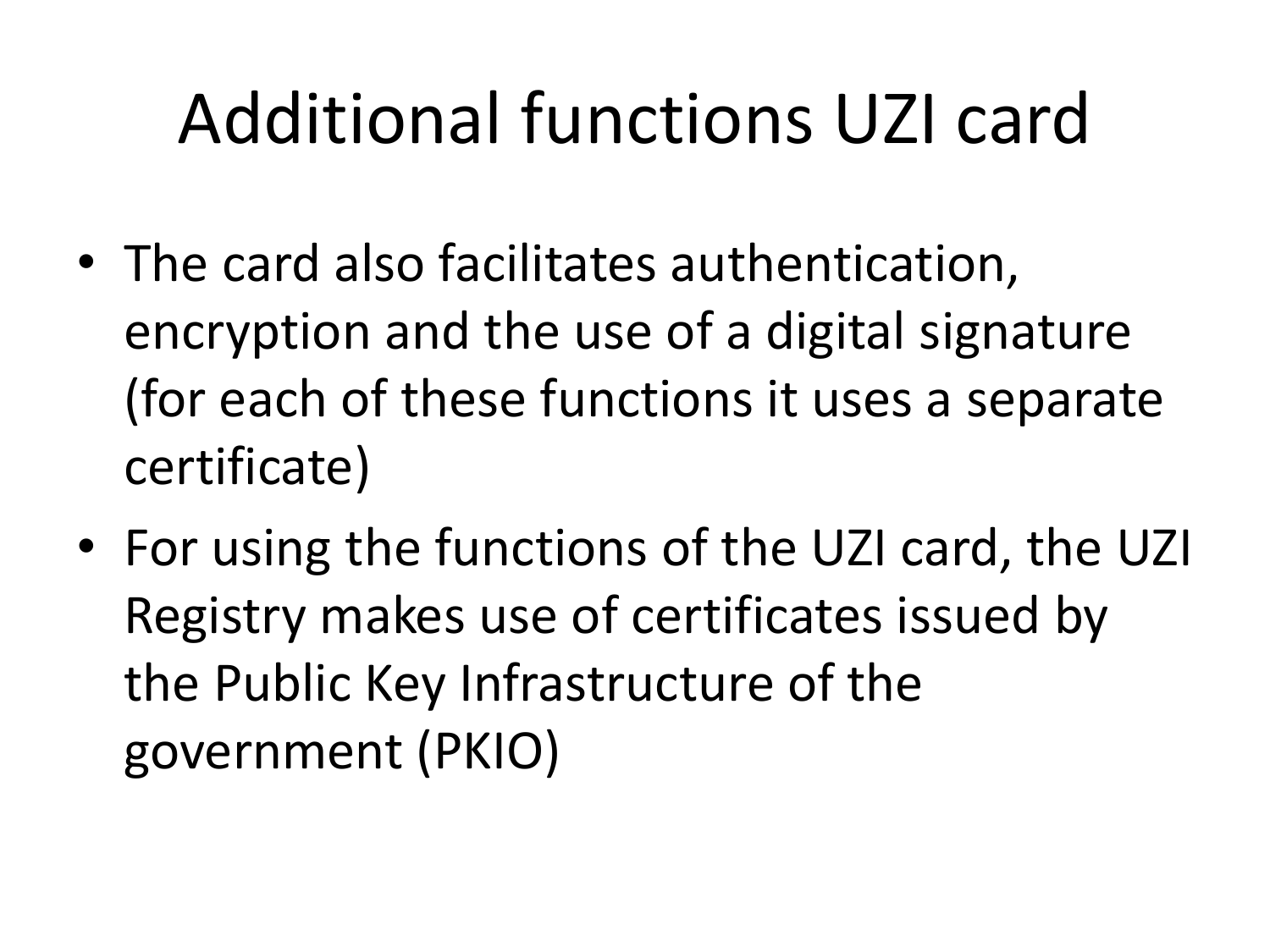## Additional functions UZI card

- The card also facilitates authentication, encryption and the use of a digital signature (for each of these functions it uses a separate certificate)
- For using the functions of the UZI card, the UZI Registry makes use of certificates issued by the Public Key Infrastructure of the government (PKIO)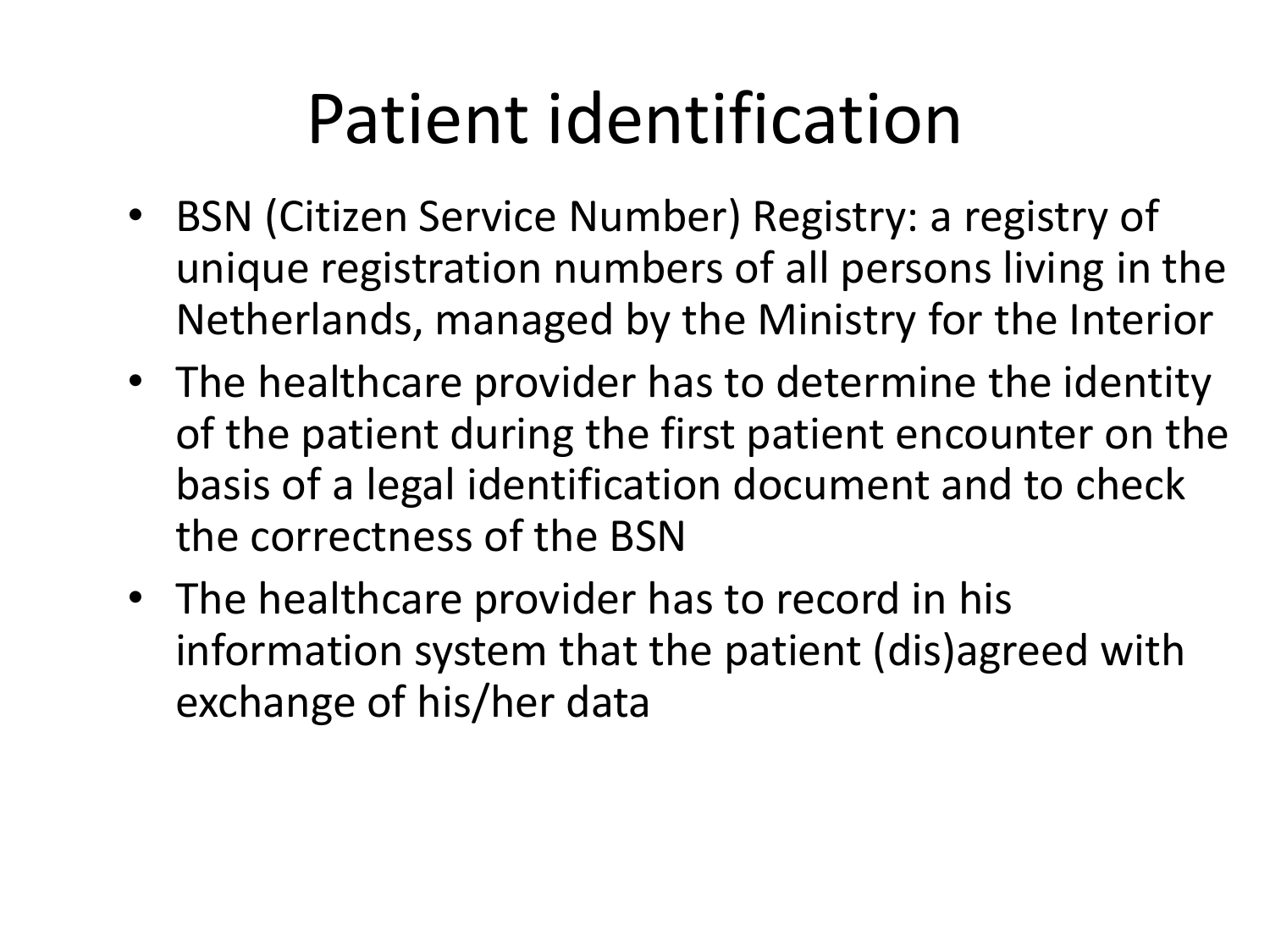#### Patient identification

- BSN (Citizen Service Number) Registry: a registry of unique registration numbers of all persons living in the Netherlands, managed by the Ministry for the Interior
- The healthcare provider has to determine the identity of the patient during the first patient encounter on the basis of a legal identification document and to check the correctness of the BSN
- The healthcare provider has to record in his information system that the patient (dis)agreed with exchange of his/her data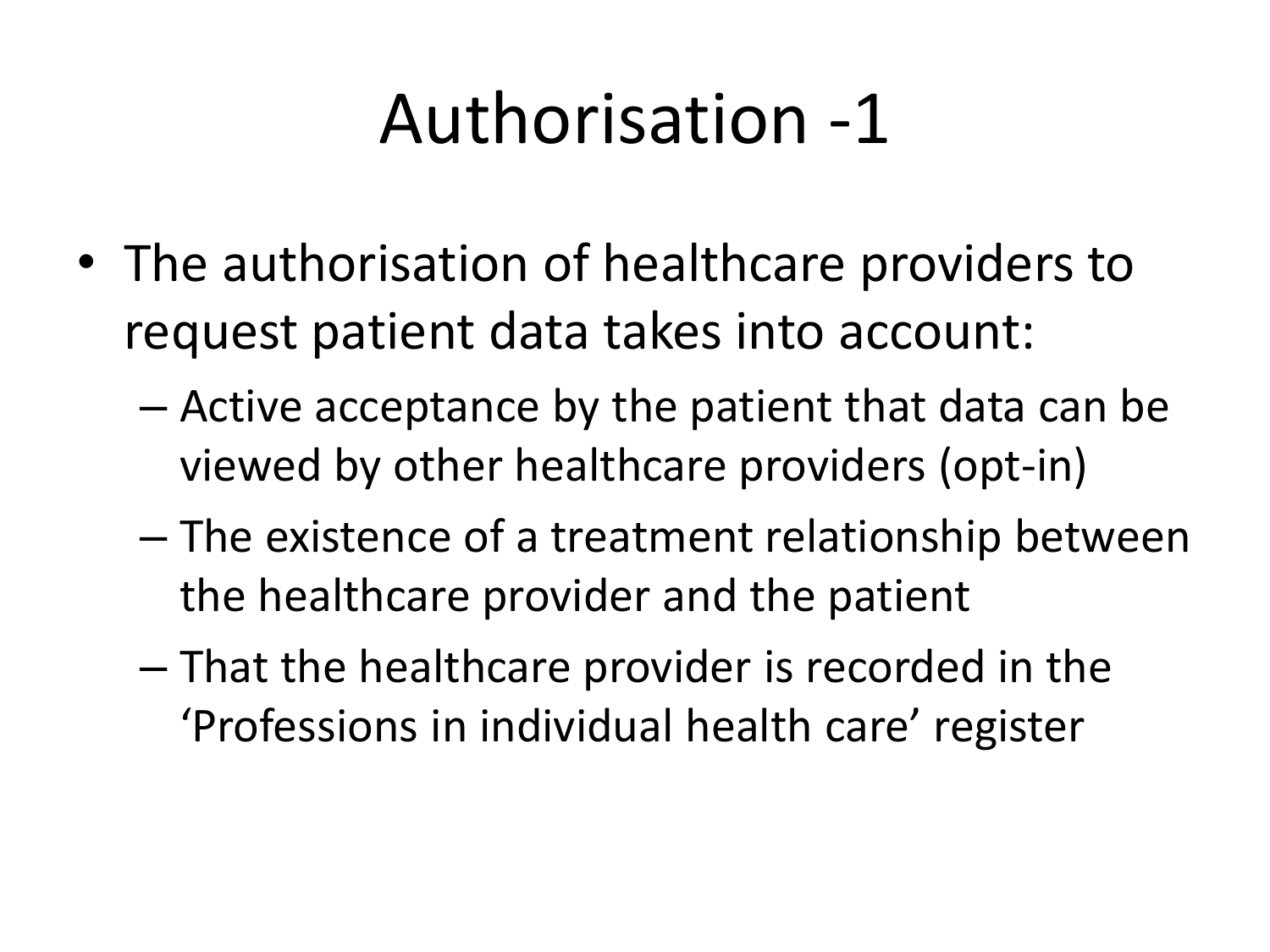## Authorisation -1

- The authorisation of healthcare providers to request patient data takes into account:
	- Active acceptance by the patient that data can be viewed by other healthcare providers (opt-in)
	- The existence of a treatment relationship between the healthcare provider and the patient
	- That the healthcare provider is recorded in the 'Professions in individual health care' register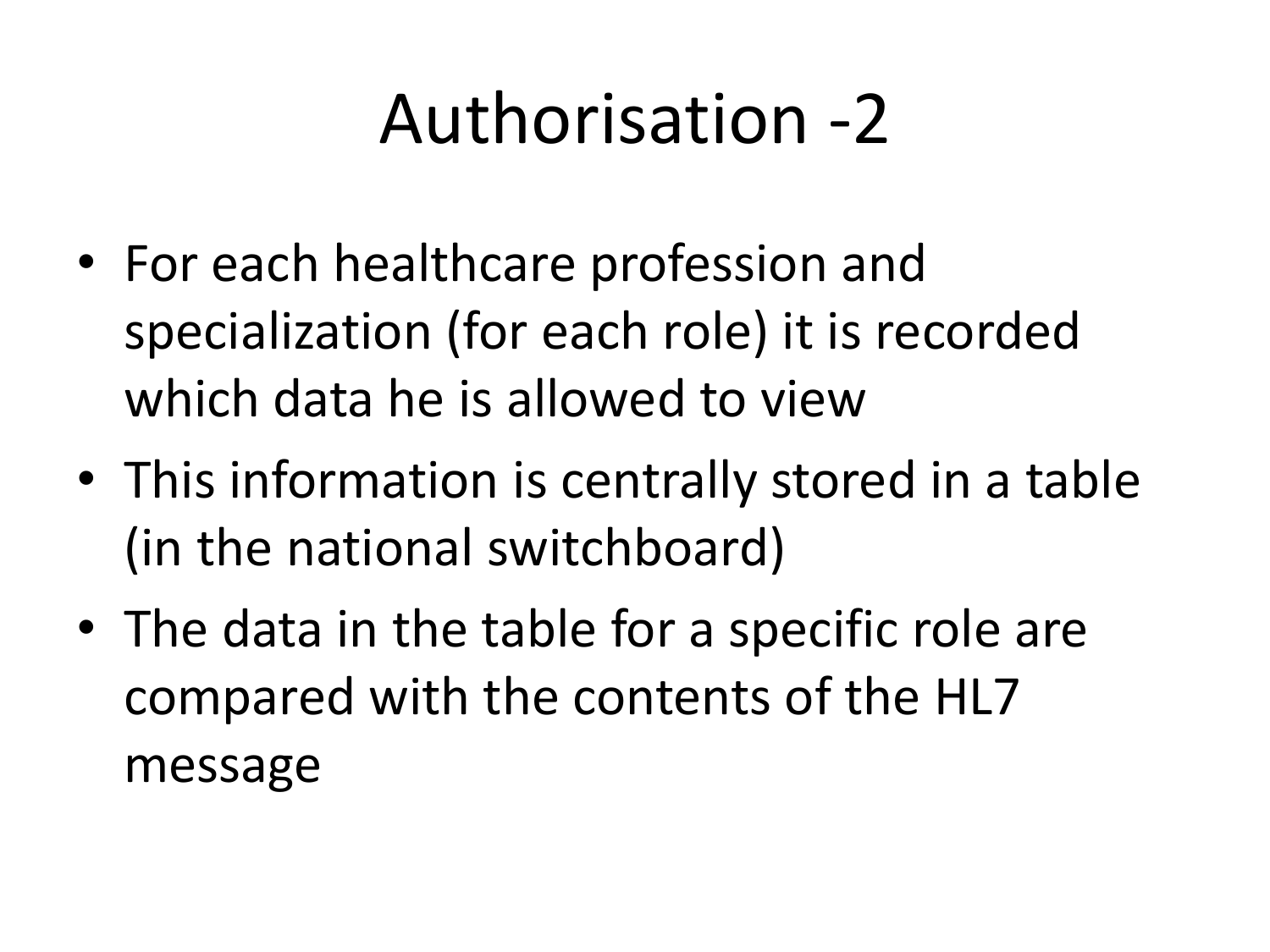### Authorisation -2

- For each healthcare profession and specialization (for each role) it is recorded which data he is allowed to view
- This information is centrally stored in a table (in the national switchboard)
- The data in the table for a specific role are compared with the contents of the HL7 message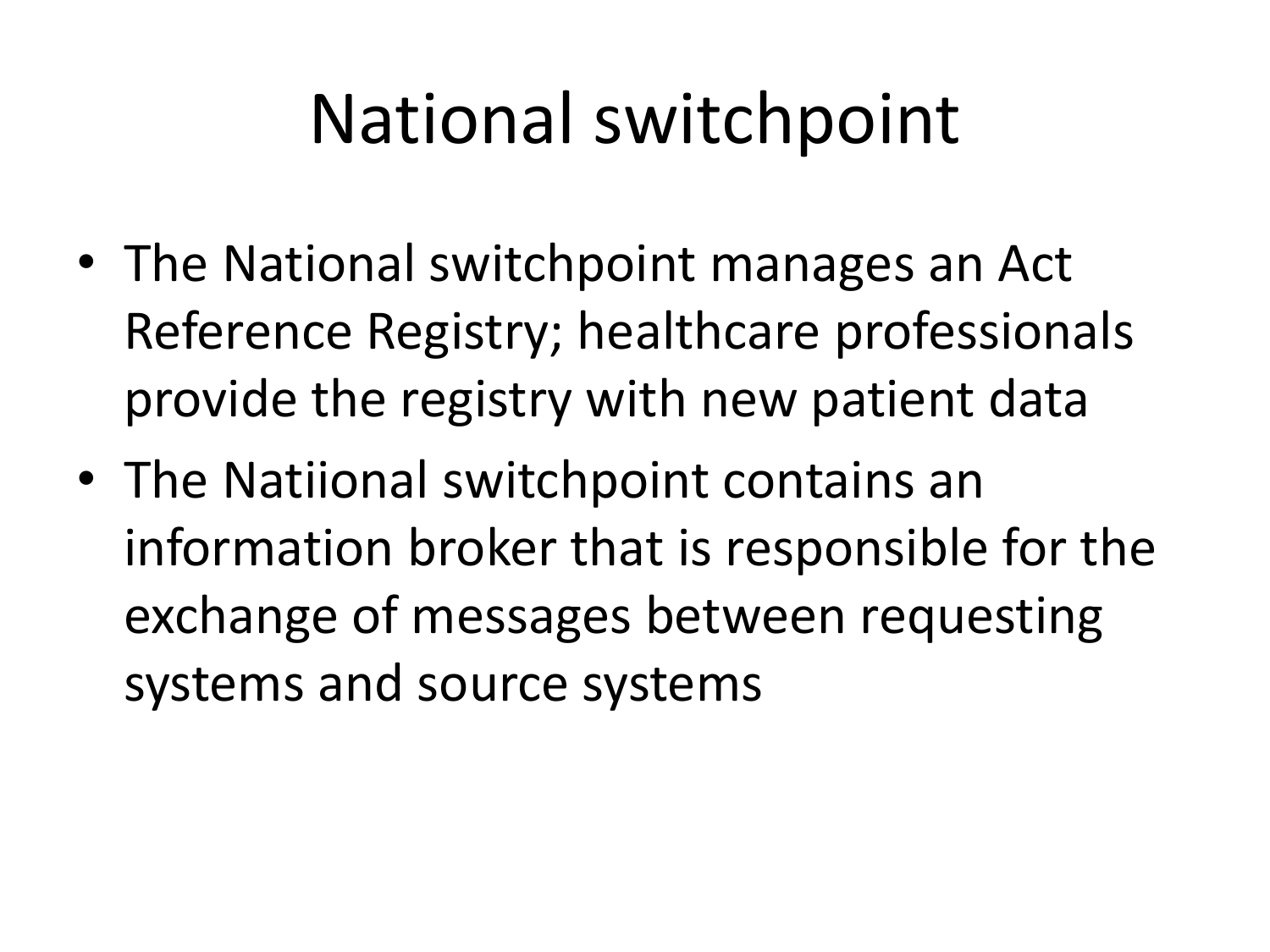## National switchpoint

- The National switchpoint manages an Act Reference Registry; healthcare professionals provide the registry with new patient data
- The Natiional switchpoint contains an information broker that is responsible for the exchange of messages between requesting systems and source systems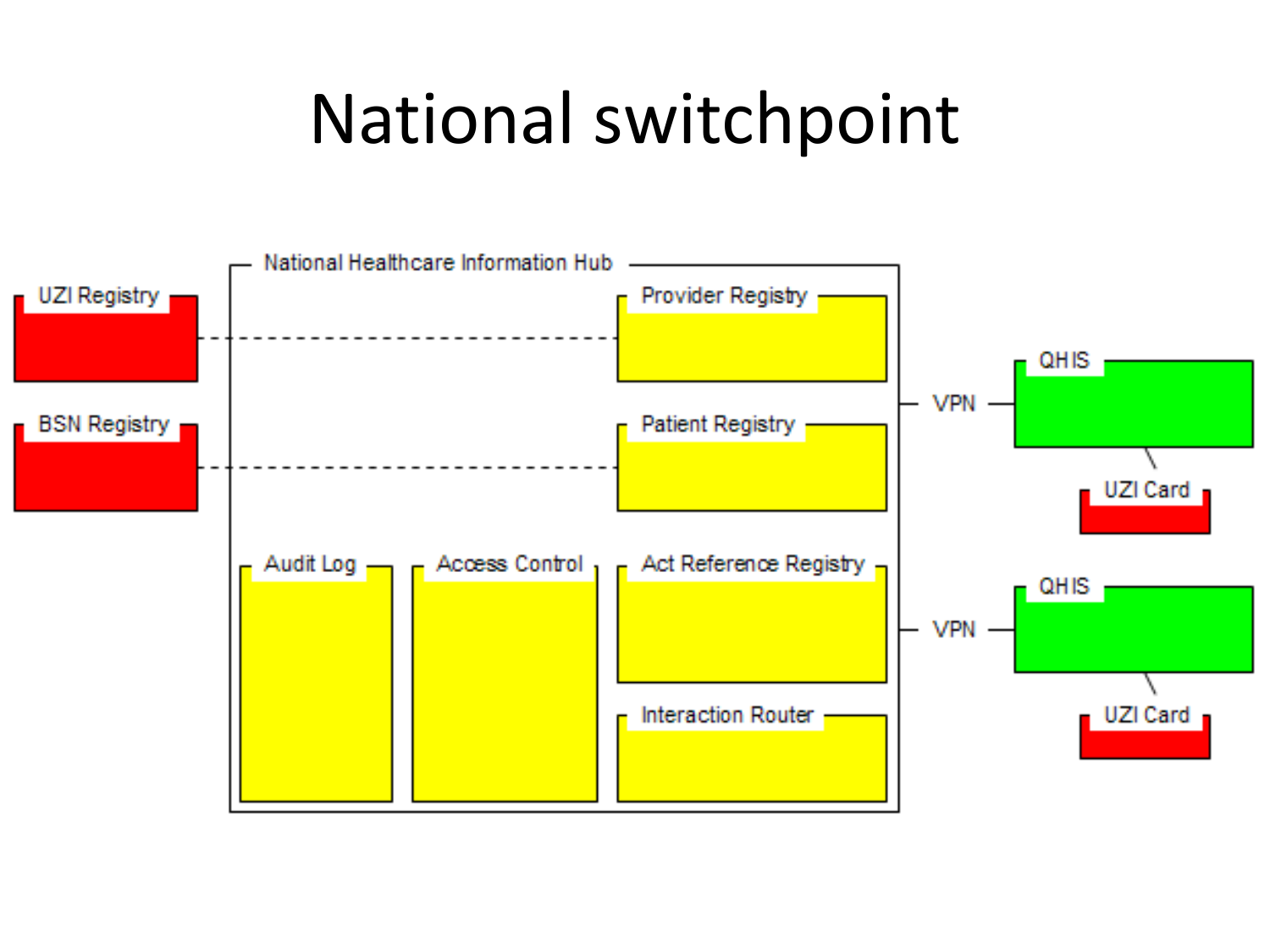#### National switchpoint

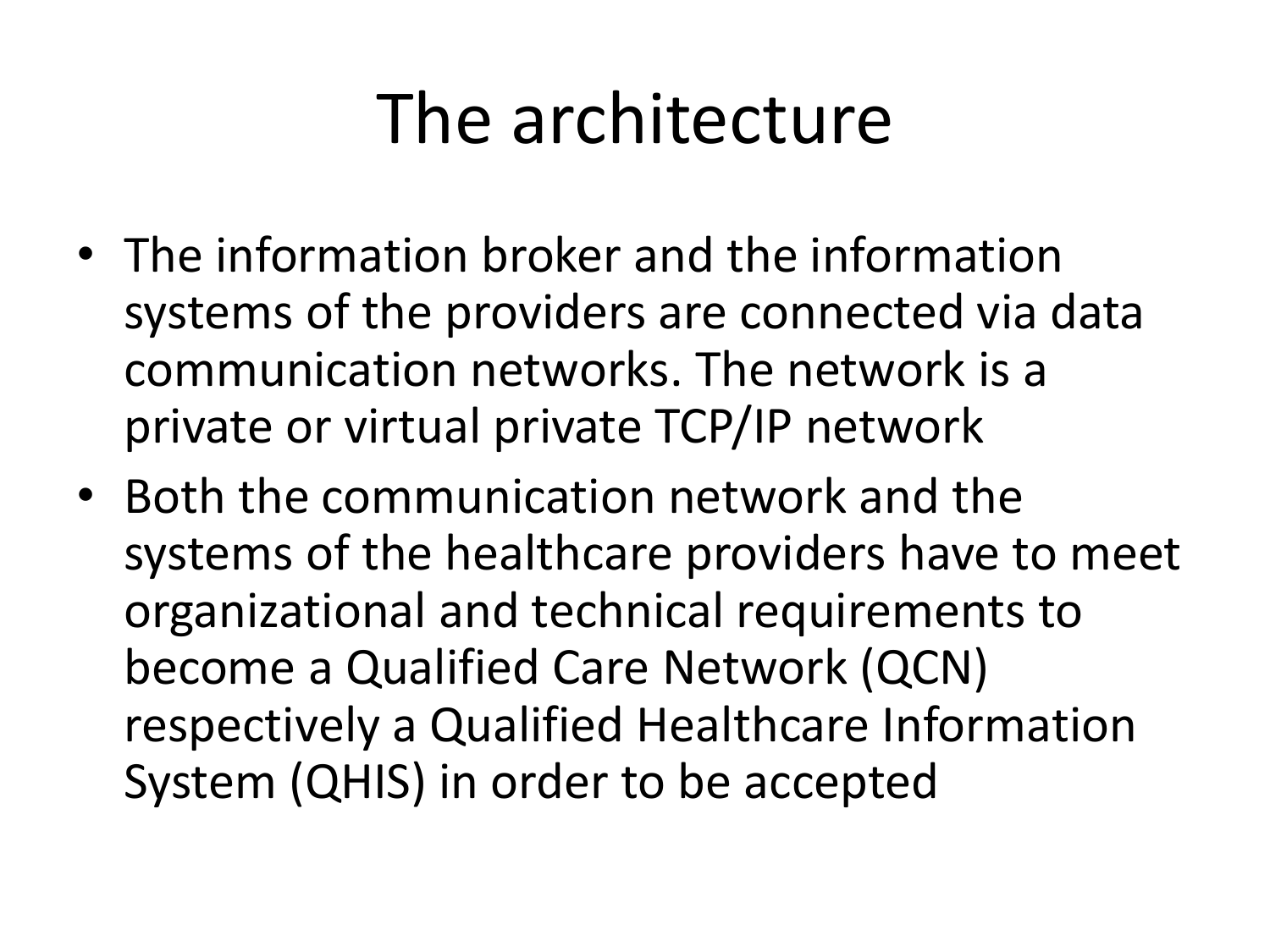## The architecture

- The information broker and the information systems of the providers are connected via data communication networks. The network is a private or virtual private TCP/IP network
- Both the communication network and the systems of the healthcare providers have to meet organizational and technical requirements to become a Qualified Care Network (QCN) respectively a Qualified Healthcare Information System (QHIS) in order to be accepted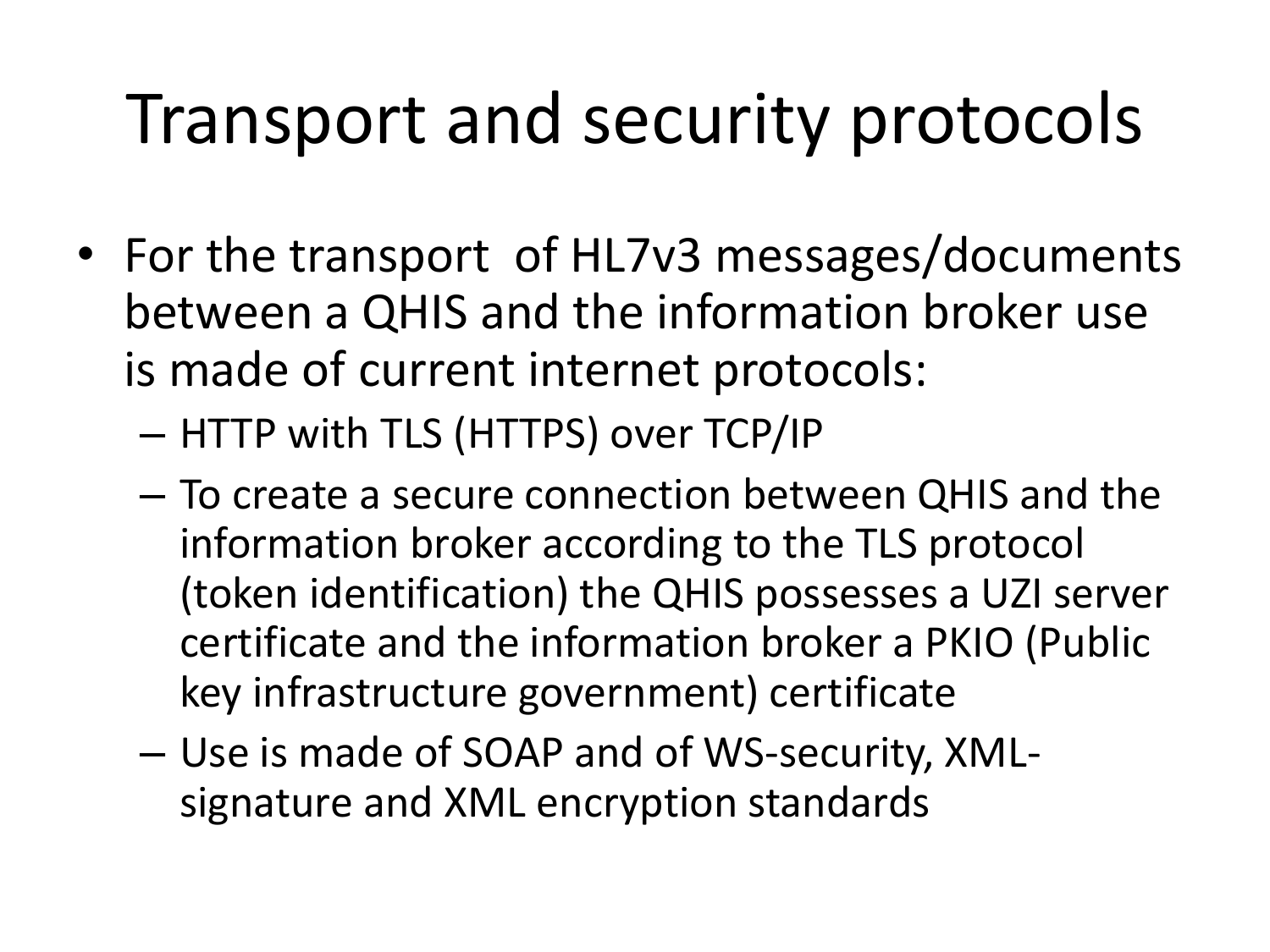## Transport and security protocols

- For the transport of HL7v3 messages/documents between a QHIS and the information broker use is made of current internet protocols:
	- HTTP with TLS (HTTPS) over TCP/IP
	- To create a secure connection between QHIS and the information broker according to the TLS protocol (token identification) the QHIS possesses a UZI server certificate and the information broker a PKIO (Public key infrastructure government) certificate
	- Use is made of SOAP and of WS-security, XMLsignature and XML encryption standards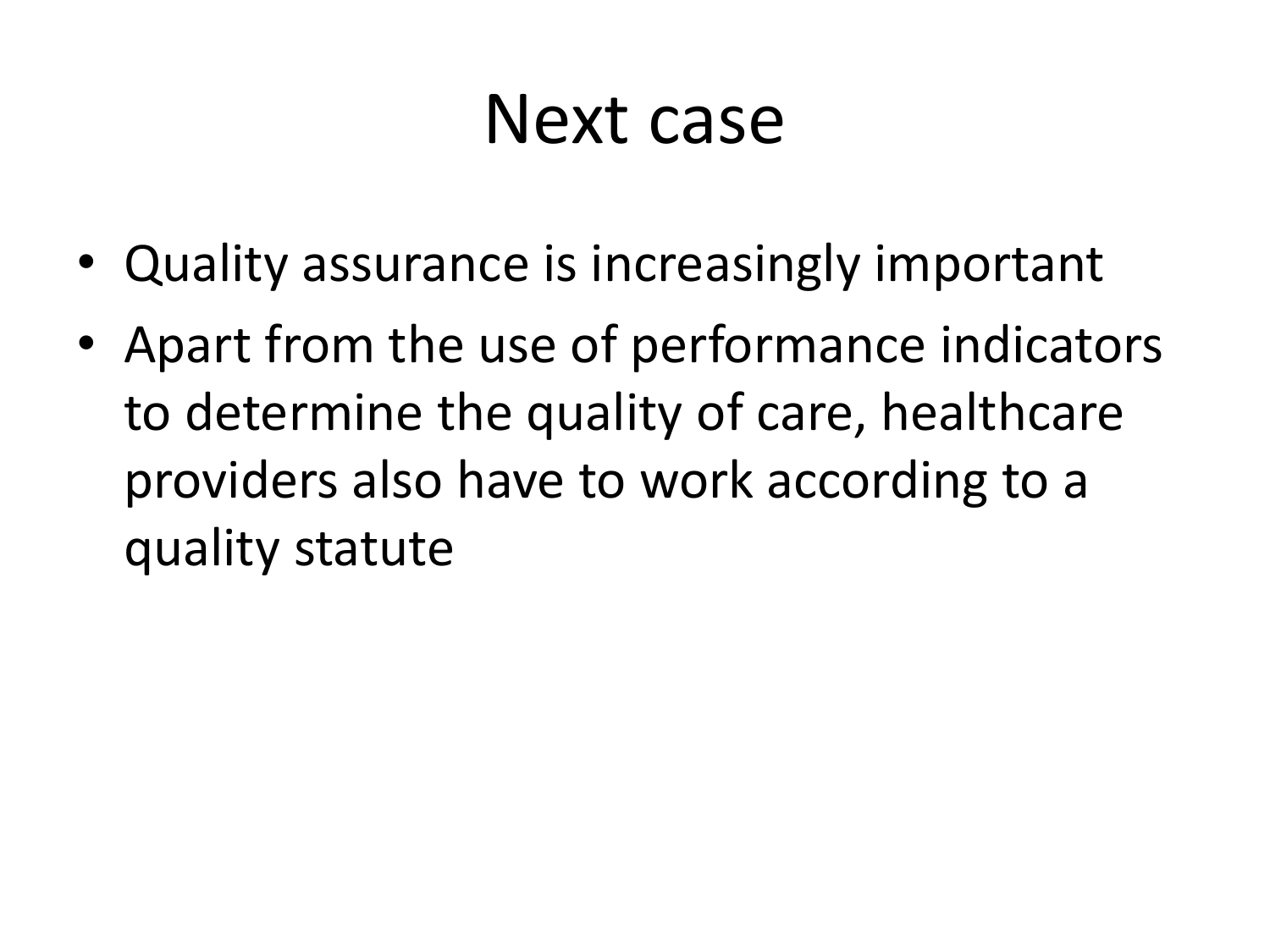#### Next case

- Quality assurance is increasingly important
- Apart from the use of performance indicators to determine the quality of care, healthcare providers also have to work according to a quality statute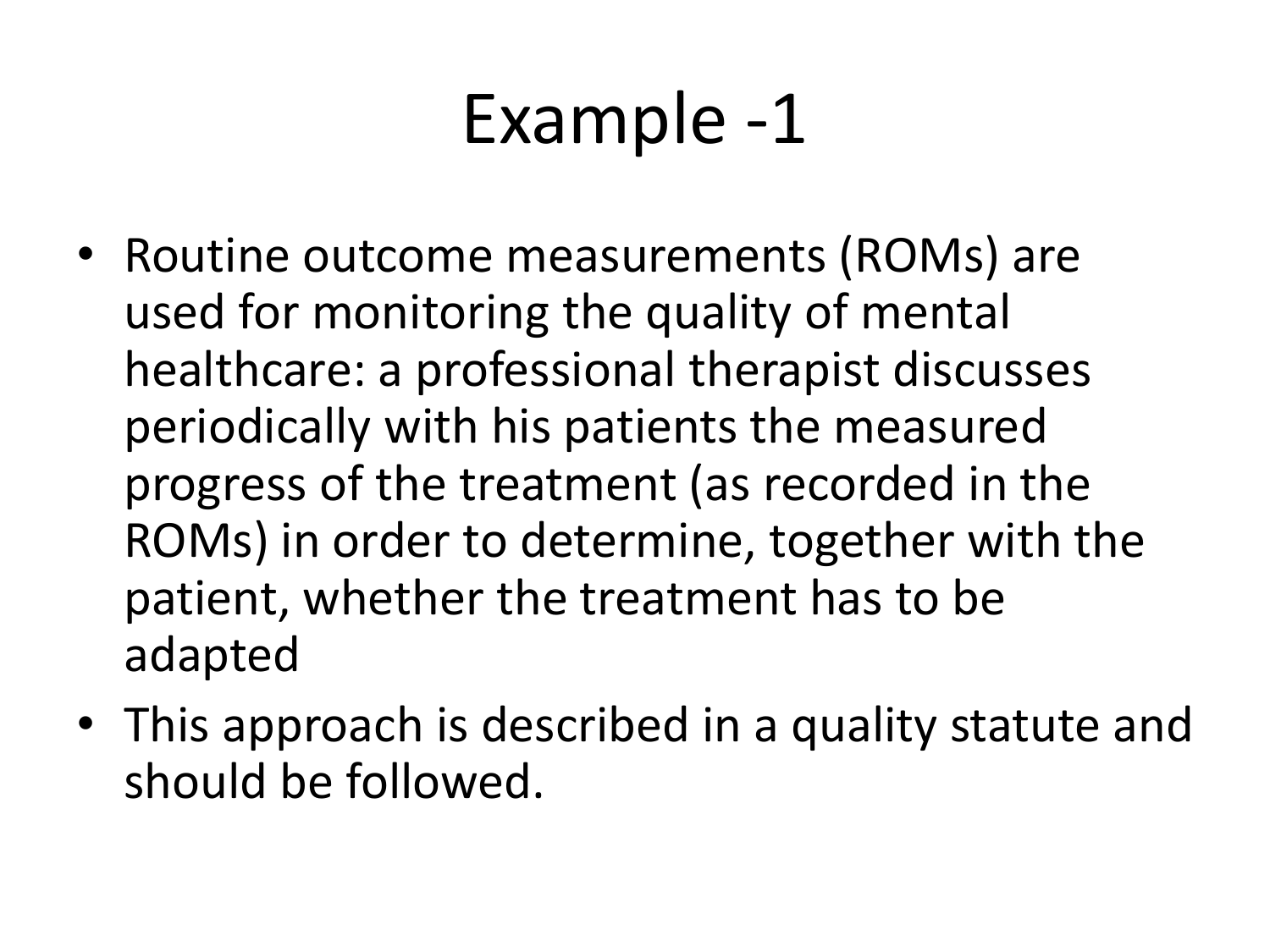## Example -1

- Routine outcome measurements (ROMs) are used for monitoring the quality of mental healthcare: a professional therapist discusses periodically with his patients the measured progress of the treatment (as recorded in the ROMs) in order to determine, together with the patient, whether the treatment has to be adapted
- This approach is described in a quality statute and should be followed.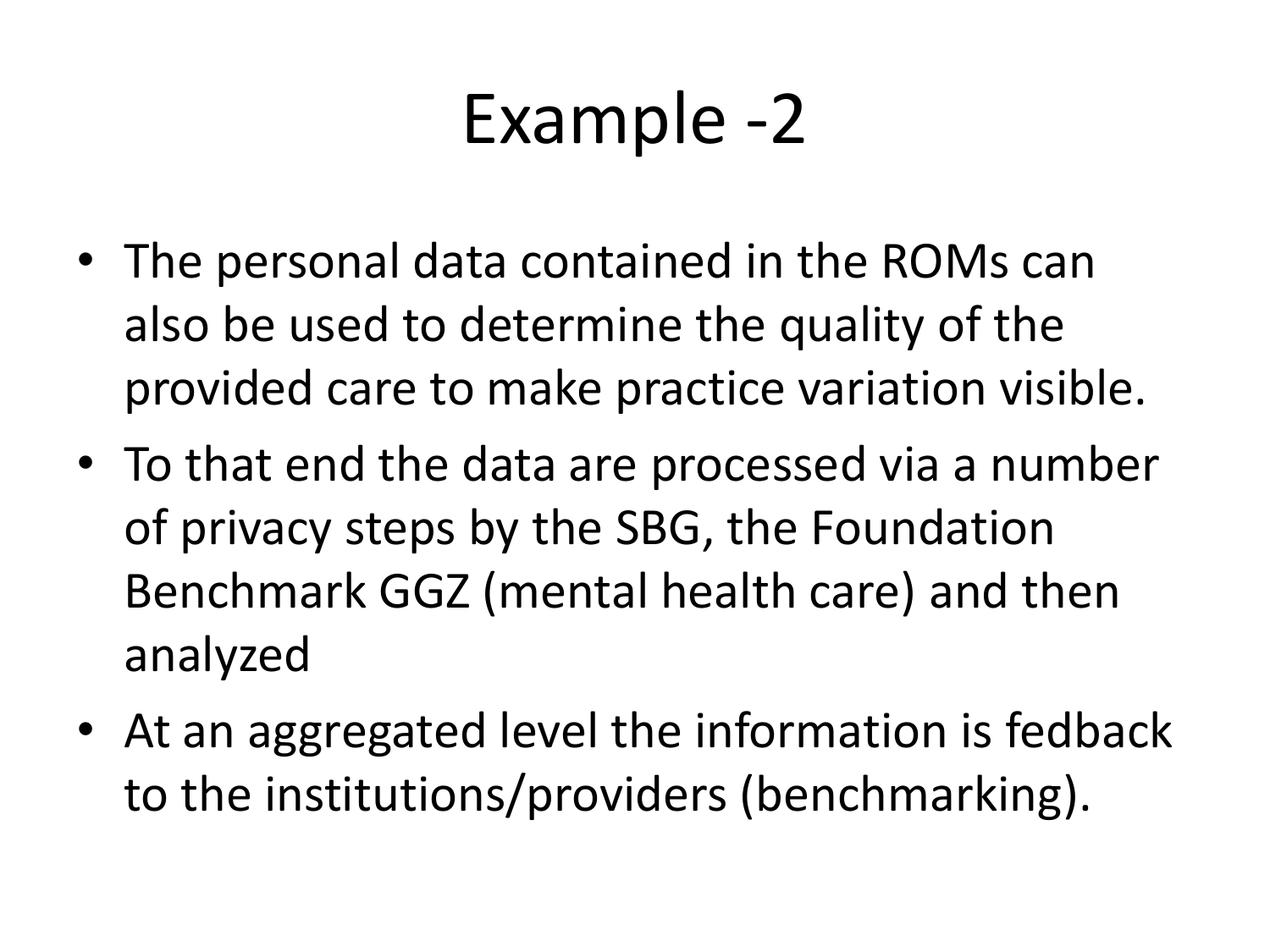### Example -2

- The personal data contained in the ROMs can also be used to determine the quality of the provided care to make practice variation visible.
- To that end the data are processed via a number of privacy steps by the SBG, the Foundation Benchmark GGZ (mental health care) and then analyzed
- At an aggregated level the information is fedback to the institutions/providers (benchmarking).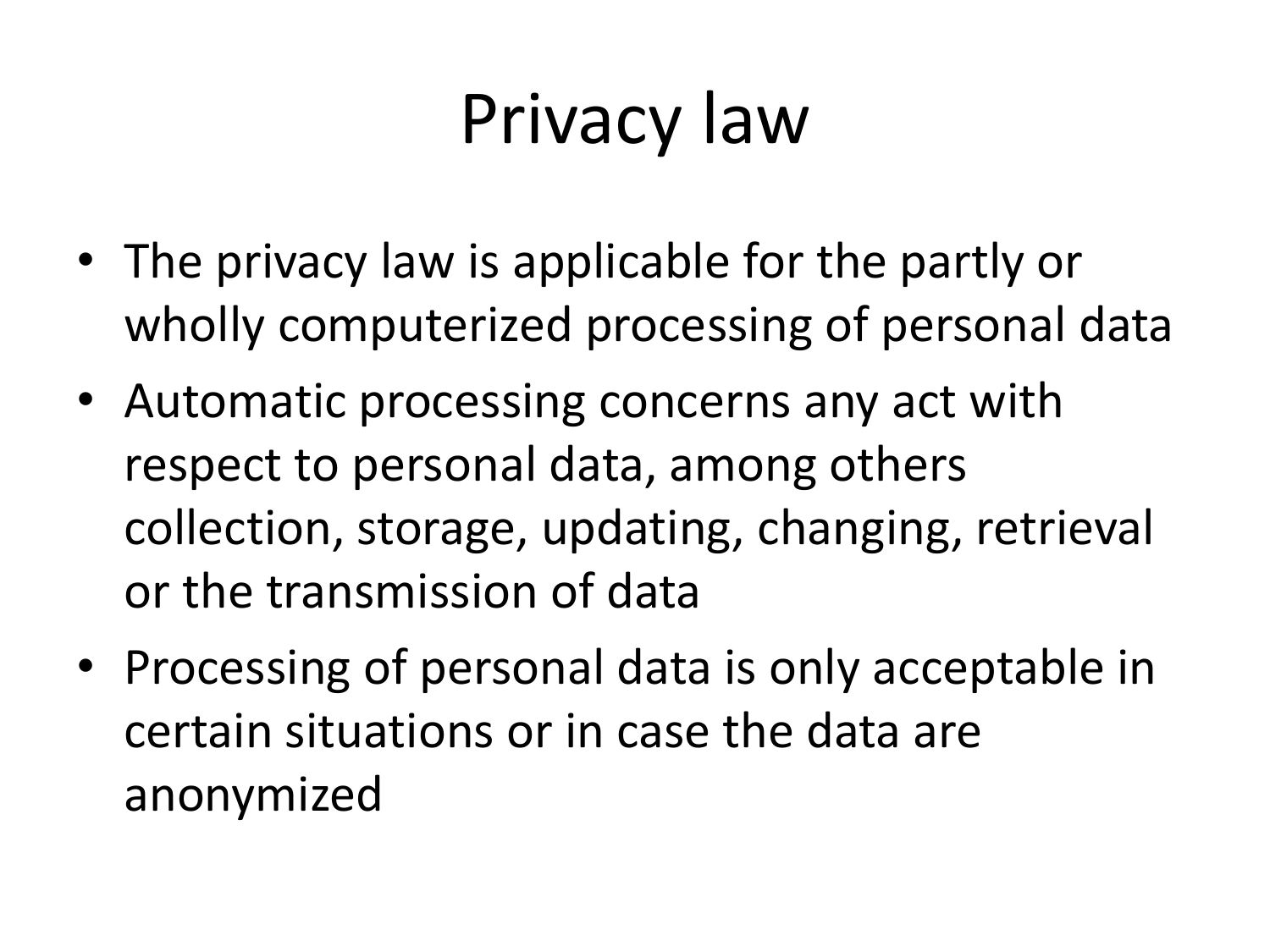# Privacy law

- The privacy law is applicable for the partly or wholly computerized processing of personal data
- Automatic processing concerns any act with respect to personal data, among others collection, storage, updating, changing, retrieval or the transmission of data
- Processing of personal data is only acceptable in certain situations or in case the data are anonymized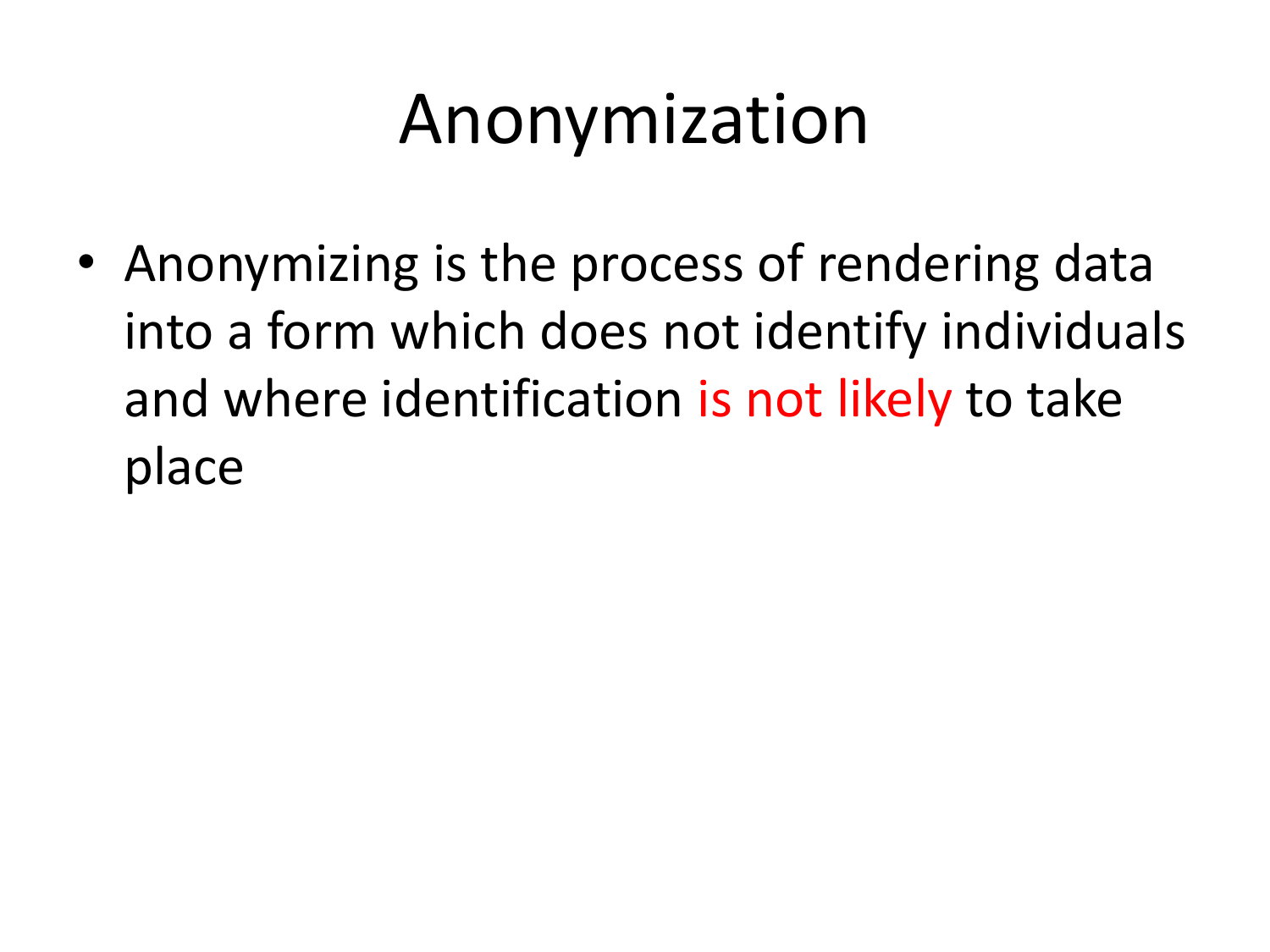## Anonymization

• Anonymizing is the process of rendering data into a form which does not identify individuals and where identification is not likely to take place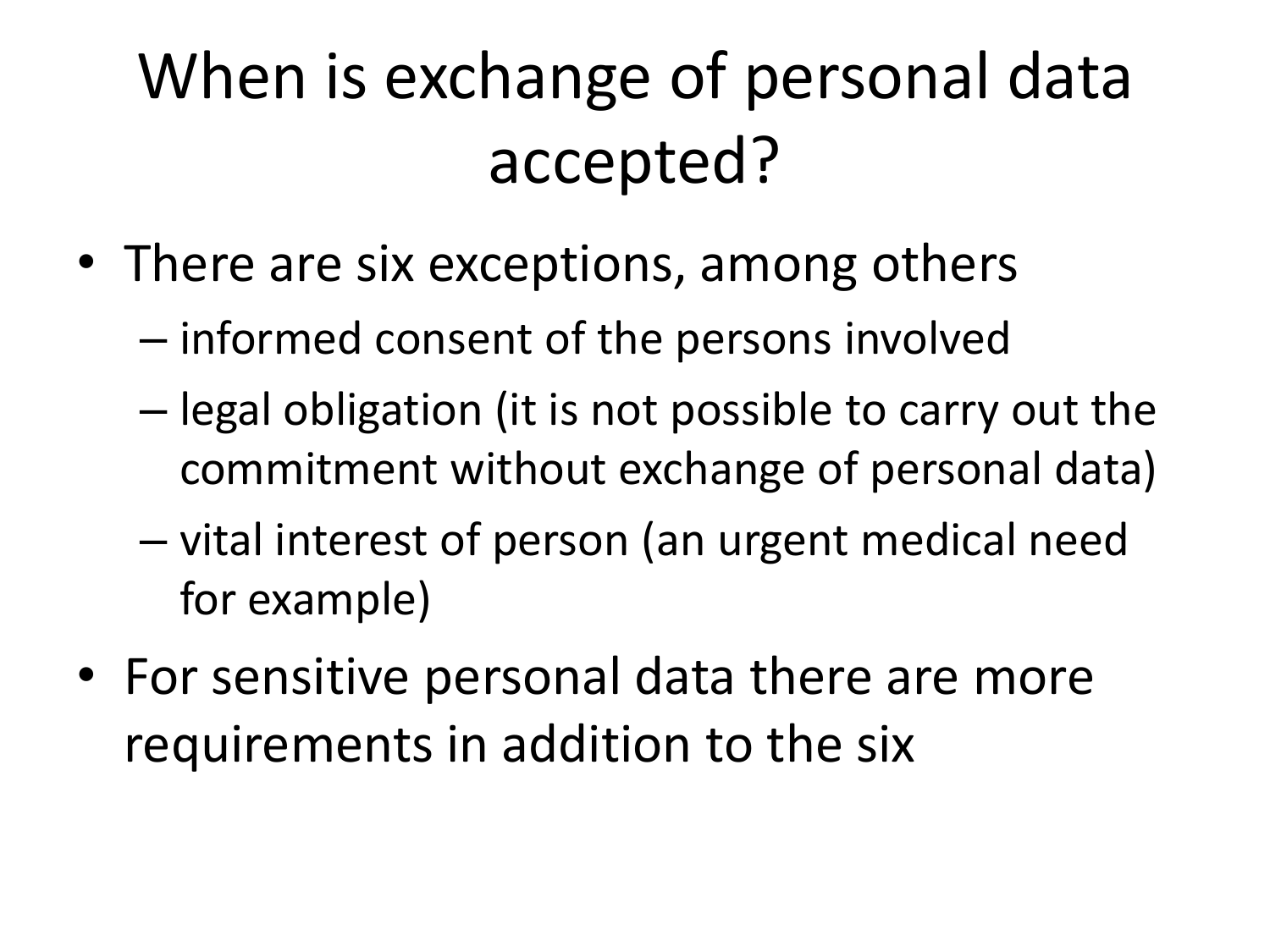### When is exchange of personal data accepted?

- There are six exceptions, among others
	- informed consent of the persons involved
	- legal obligation (it is not possible to carry out the commitment without exchange of personal data)
	- vital interest of person (an urgent medical need for example)
- For sensitive personal data there are more requirements in addition to the six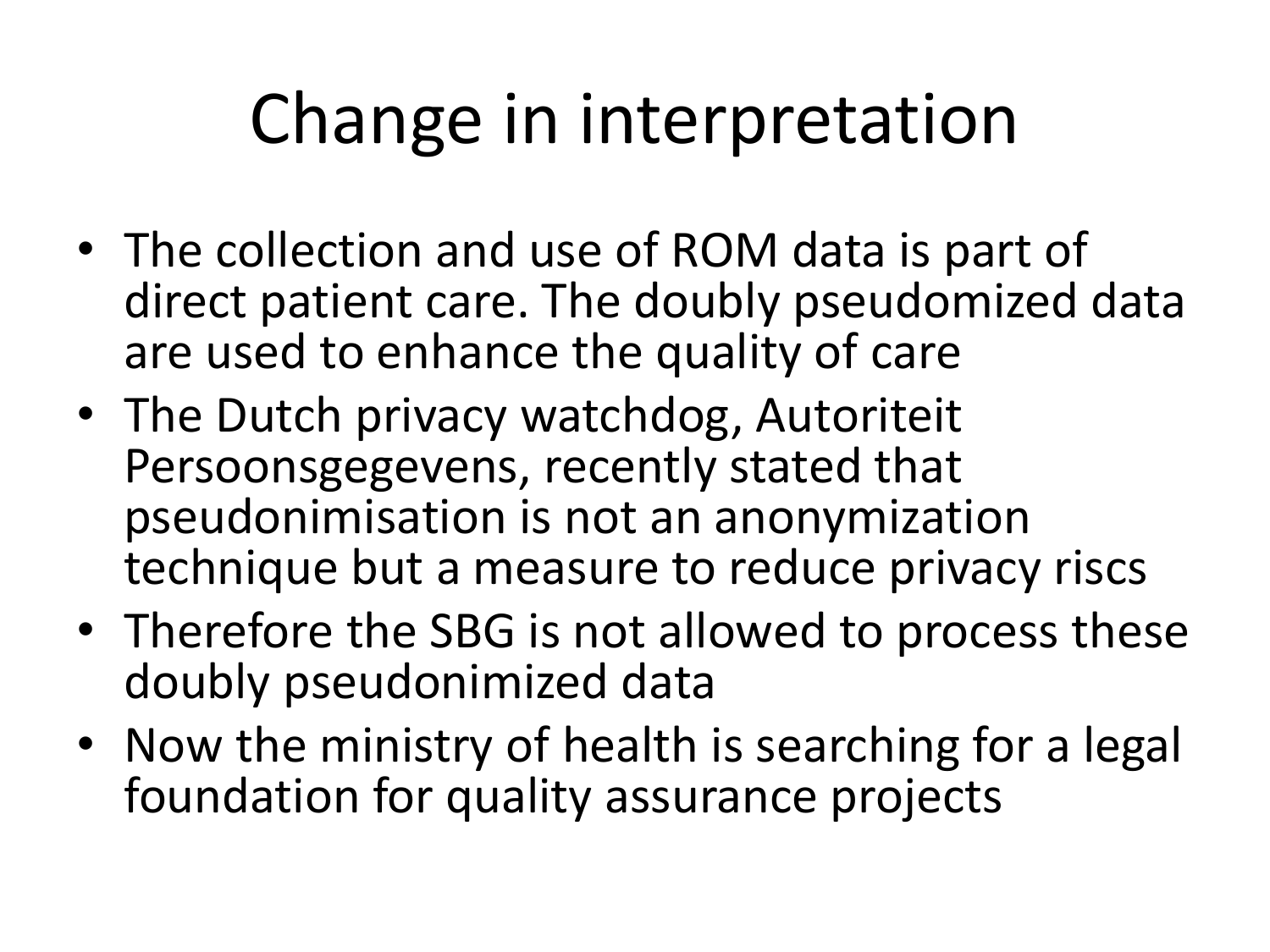# Change in interpretation

- The collection and use of ROM data is part of direct patient care. The doubly pseudomized data are used to enhance the quality of care
- The Dutch privacy watchdog, Autoriteit Persoonsgegevens, recently stated that pseudonimisation is not an anonymization technique but a measure to reduce privacy riscs
- Therefore the SBG is not allowed to process these doubly pseudonimized data
- Now the ministry of health is searching for a legal foundation for quality assurance projects